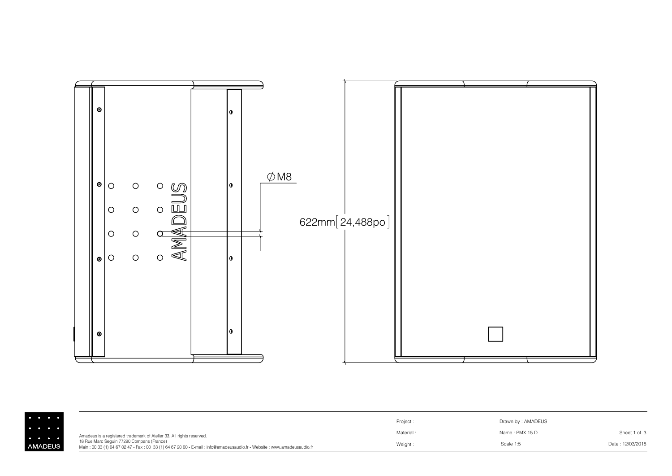

| $\begin{array}{cccccccccccccc} \bullet & \bullet & \bullet & \bullet & \bullet & \bullet & \bullet \end{array}$ |                                                                                                                                                                                                                                              | Project:  | Drawn by: AMADEUS |                  |
|-----------------------------------------------------------------------------------------------------------------|----------------------------------------------------------------------------------------------------------------------------------------------------------------------------------------------------------------------------------------------|-----------|-------------------|------------------|
| .                                                                                                               | Amadeus is a registered trademark of Atelier 33. All rights reserved.<br>18 Rue Marc Sequin 77290 Compans (France)<br>Main: 00 33 (1) 64 67 02 47 - Fax: 00 33 (1) 64 67 20 00 - E-mail: info@amadeusaudio.fr - Website: www.amadeusaudio.fr | Material: | Name: PMX 15 D    | Sheet 1 of 3     |
| <b>AMADEUS</b>                                                                                                  |                                                                                                                                                                                                                                              | Weight:   | Scale 1:5         | Date: 12/03/2018 |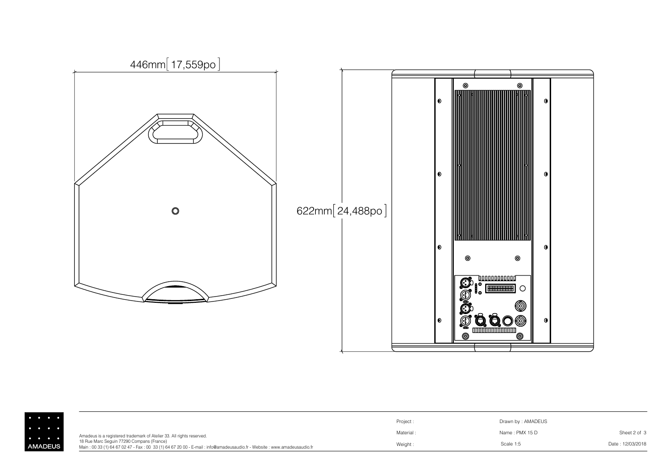

|                                                                                                                   |                                                                                                                                                                     | Project:  | Drawn by: AMADEUS |                  |
|-------------------------------------------------------------------------------------------------------------------|---------------------------------------------------------------------------------------------------------------------------------------------------------------------|-----------|-------------------|------------------|
| $\cdots$<br>$\begin{array}{cccccccccccccc} \bullet & \bullet & \bullet & \bullet & \bullet & \bullet \end{array}$ | Amadeus is a registered trademark of Atelier 33. All rights reserved.                                                                                               | Material: | Name: PMX 15 D    | Sheet 2 of 3     |
| <b>AMADEUS</b>                                                                                                    | 18 Rue Marc Sequin 77290 Compans (France)<br>Main: 00 33 (1) 64 67 02 47 - Fax: 00 33 (1) 64 67 20 00 - E-mail: info@amadeusaudio.fr - Website: www.amadeusaudio.fr | Weight:   | Scale 1:5         | Date: 12/03/2018 |